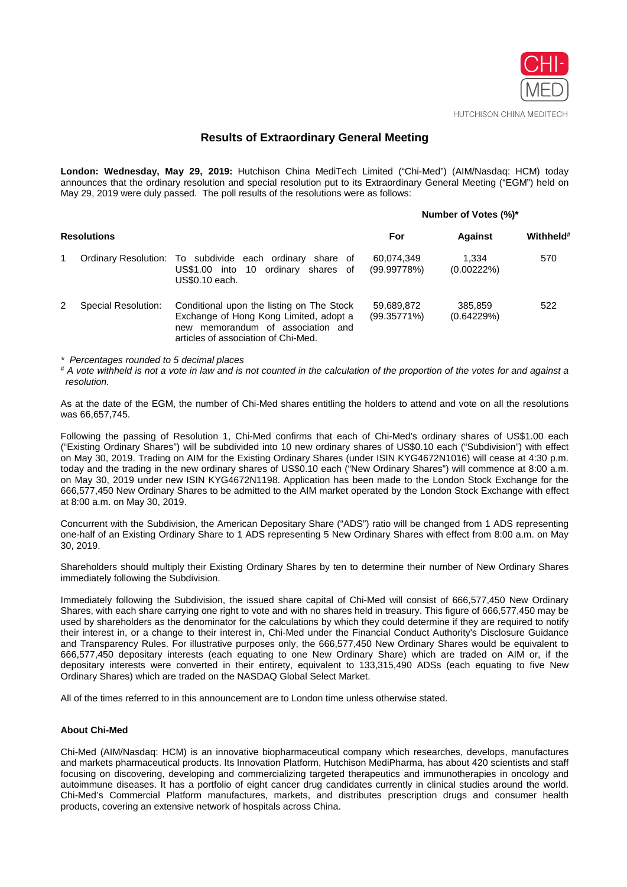

#### HUTCHISON CHINA MEDITECH

# **Results of Extraordinary General Meeting**

**London: Wednesday, May 29, 2019:** Hutchison China MediTech Limited ("Chi-Med") (AIM/Nasdaq: HCM) today announces that the ordinary resolution and special resolution put to its Extraordinary General Meeting ("EGM") held on May 29, 2019 were duly passed. The poll results of the resolutions were as follows:

#### **Number of Votes (%)\***

| <b>Resolutions</b> |                     |                                                                                                                                                                 | For                       | <b>Against</b>         | Withheld <sup>#</sup> |
|--------------------|---------------------|-----------------------------------------------------------------------------------------------------------------------------------------------------------------|---------------------------|------------------------|-----------------------|
|                    |                     | Ordinary Resolution: To subdivide each ordinary<br>share of<br>US\$1,00 into 10 ordinary shares of<br>US\$0.10 each.                                            | 60,074,349<br>(99.99778%) | 1.334<br>$(0.00222\%)$ | 570                   |
|                    | Special Resolution: | Conditional upon the listing on The Stock<br>Exchange of Hong Kong Limited, adopt a<br>new memorandum of association and<br>articles of association of Chi-Med. | 59,689,872<br>(99.35771%) | 385.859<br>(0.64229%)  | 522                   |

*\* Percentages rounded to 5 decimal places*

*# A vote withheld is not a vote in law and is not counted in the calculation of the proportion of the votes for and against a resolution.*

As at the date of the EGM, the number of Chi-Med shares entitling the holders to attend and vote on all the resolutions was 66,657,745.

Following the passing of Resolution 1, Chi-Med confirms that each of Chi-Med's ordinary shares of US\$1.00 each ("Existing Ordinary Shares") will be subdivided into 10 new ordinary shares of US\$0.10 each ("Subdivision") with effect on May 30, 2019. Trading on AIM for the Existing Ordinary Shares (under ISIN KYG4672N1016) will cease at 4:30 p.m. today and the trading in the new ordinary shares of US\$0.10 each ("New Ordinary Shares") will commence at 8:00 a.m. on May 30, 2019 under new ISIN KYG4672N1198. Application has been made to the London Stock Exchange for the 666,577,450 New Ordinary Shares to be admitted to the AIM market operated by the London Stock Exchange with effect at 8:00 a.m. on May 30, 2019.

Concurrent with the Subdivision, the American Depositary Share ("ADS") ratio will be changed from 1 ADS representing one-half of an Existing Ordinary Share to 1 ADS representing 5 New Ordinary Shares with effect from 8:00 a.m. on May 30, 2019.

Shareholders should multiply their Existing Ordinary Shares by ten to determine their number of New Ordinary Shares immediately following the Subdivision.

Immediately following the Subdivision, the issued share capital of Chi-Med will consist of 666,577,450 New Ordinary Shares, with each share carrying one right to vote and with no shares held in treasury. This figure of 666,577,450 may be used by shareholders as the denominator for the calculations by which they could determine if they are required to notify their interest in, or a change to their interest in, Chi-Med under the Financial Conduct Authority's Disclosure Guidance and Transparency Rules. For illustrative purposes only, the 666,577,450 New Ordinary Shares would be equivalent to 666,577,450 depositary interests (each equating to one New Ordinary Share) which are traded on AIM or, if the depositary interests were converted in their entirety, equivalent to 133,315,490 ADSs (each equating to five New Ordinary Shares) which are traded on the NASDAQ Global Select Market.

All of the times referred to in this announcement are to London time unless otherwise stated.

### **About Chi-Med**

Chi-Med (AIM/Nasdaq: HCM) is an innovative biopharmaceutical company which researches, develops, manufactures and markets pharmaceutical products. Its Innovation Platform, Hutchison MediPharma, has about 420 scientists and staff focusing on discovering, developing and commercializing targeted therapeutics and immunotherapies in oncology and autoimmune diseases. It has a portfolio of eight cancer drug candidates currently in clinical studies around the world. Chi-Med's Commercial Platform manufactures, markets, and distributes prescription drugs and consumer health products, covering an extensive network of hospitals across China.